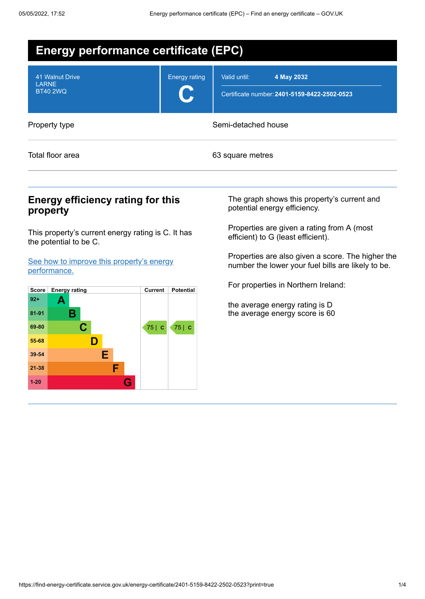| <b>Energy performance certificate (EPC)</b>        |                      |                                                                            |  |  |  |
|----------------------------------------------------|----------------------|----------------------------------------------------------------------------|--|--|--|
| 41 Walnut Drive<br><b>LARNE</b><br><b>BT40 2WQ</b> | <b>Energy rating</b> | 4 May 2032<br>Valid until:<br>Certificate number: 2401-5159-8422-2502-0523 |  |  |  |
| Property type                                      |                      | Semi-detached house                                                        |  |  |  |
| Total floor area                                   |                      | 63 square metres                                                           |  |  |  |

## **Energy efficiency rating for this property**

This property's current energy rating is C. It has the potential to be C.

See how to improve this property's energy [performance.](#page-2-0)



The graph shows this property's current and potential energy efficiency.

Properties are given a rating from A (most efficient) to G (least efficient).

Properties are also given a score. The higher the number the lower your fuel bills are likely to be.

For properties in Northern Ireland:

the average energy rating is D the average energy score is 60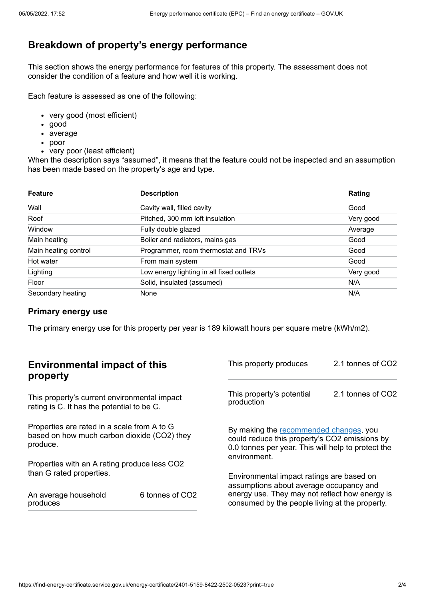# **Breakdown of property's energy performance**

This section shows the energy performance for features of this property. The assessment does not consider the condition of a feature and how well it is working.

Each feature is assessed as one of the following:

- very good (most efficient)
- good
- average
- poor
- very poor (least efficient)

When the description says "assumed", it means that the feature could not be inspected and an assumption has been made based on the property's age and type.

| <b>Feature</b>       | <b>Description</b>                       | Rating    |
|----------------------|------------------------------------------|-----------|
| Wall                 | Cavity wall, filled cavity               | Good      |
| Roof                 | Pitched, 300 mm loft insulation          | Very good |
| Window               | Fully double glazed                      | Average   |
| Main heating         | Boiler and radiators, mains gas          | Good      |
| Main heating control | Programmer, room thermostat and TRVs     | Good      |
| Hot water            | From main system                         | Good      |
| Lighting             | Low energy lighting in all fixed outlets | Very good |
| Floor                | Solid, insulated (assumed)               | N/A       |
| Secondary heating    | None                                     | N/A       |

## **Primary energy use**

The primary energy use for this property per year is 189 kilowatt hours per square metre (kWh/m2).

| <b>Environmental impact of this</b><br>property                                                        |                 | This property produces                                                                                                                                        | 2.1 tonnes of CO2 |
|--------------------------------------------------------------------------------------------------------|-----------------|---------------------------------------------------------------------------------------------------------------------------------------------------------------|-------------------|
| This property's current environmental impact<br>rating is C. It has the potential to be C.             |                 | This property's potential<br>production                                                                                                                       | 2.1 tonnes of CO2 |
| Properties are rated in a scale from A to G<br>based on how much carbon dioxide (CO2) they<br>produce. |                 | By making the recommended changes, you<br>could reduce this property's CO2 emissions by<br>0.0 tonnes per year. This will help to protect the<br>environment. |                   |
| Properties with an A rating produce less CO2                                                           |                 |                                                                                                                                                               |                   |
| than G rated properties.                                                                               |                 | Environmental impact ratings are based on<br>assumptions about average occupancy and                                                                          |                   |
| An average household<br>produces                                                                       | 6 tonnes of CO2 | energy use. They may not reflect how energy is<br>consumed by the people living at the property.                                                              |                   |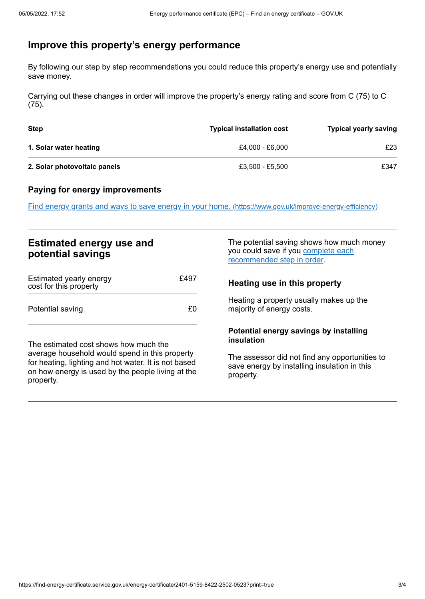# <span id="page-2-0"></span>**Improve this property's energy performance**

By following our step by step recommendations you could reduce this property's energy use and potentially save money.

Carrying out these changes in order will improve the property's energy rating and score from C (75) to C (75).

| Step                         | <b>Typical installation cost</b> | <b>Typical yearly saving</b> |
|------------------------------|----------------------------------|------------------------------|
| 1. Solar water heating       | £4.000 - £6.000                  | £23                          |
| 2. Solar photovoltaic panels | £3.500 - £5.500                  | £347                         |

## **Paying for energy improvements**

Find energy grants and ways to save energy in your home. [\(https://www.gov.uk/improve-energy-efficiency\)](https://www.gov.uk/improve-energy-efficiency)

# **Estimated energy use and potential savings**

| Estimated yearly energy<br>cost for this property | £497 |
|---------------------------------------------------|------|
| Potential saving                                  | $+1$ |

The estimated cost shows how much the average household would spend in this property for heating, lighting and hot water. It is not based on how energy is used by the people living at the property.

The potential saving shows how much money you could save if you complete each [recommended](#page-2-0) step in order.

## **Heating use in this property**

Heating a property usually makes up the majority of energy costs.

## **Potential energy savings by installing insulation**

The assessor did not find any opportunities to save energy by installing insulation in this property.